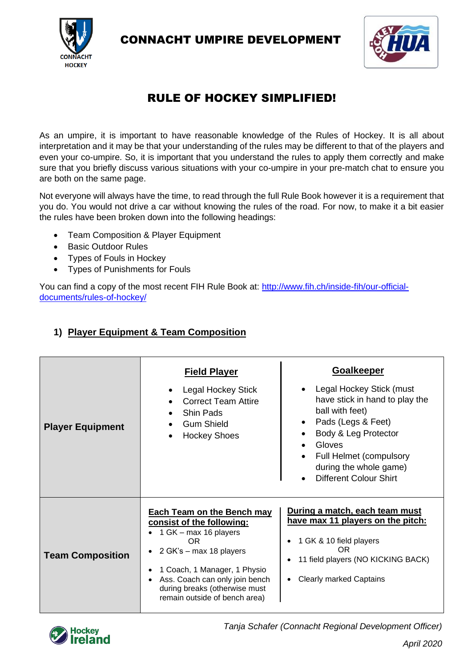

CONNACHT UMPIRE DEVELOPMENT



# RULE OF HOCKEY SIMPLIFIED!

As an umpire, it is important to have reasonable knowledge of the Rules of Hockey. It is all about interpretation and it may be that your understanding of the rules may be different to that of the players and even your co-umpire. So, it is important that you understand the rules to apply them correctly and make sure that you briefly discuss various situations with your co-umpire in your pre-match chat to ensure you are both on the same page.

Not everyone will always have the time, to read through the full Rule Book however it is a requirement that you do. You would not drive a car without knowing the rules of the road. For now, to make it a bit easier the rules have been broken down into the following headings:

- Team Composition & Player Equipment
- Basic Outdoor Rules
- Types of Fouls in Hockey
- Types of Punishments for Fouls

You can find a copy of the most recent FIH Rule Book at: http://www.fih.ch/inside-fih/our-officialdocuments/rules-of-hockey/

## **1) Player Equipment & Team Composition**

| <b>Player Equipment</b> | <b>Field Player</b><br><b>Legal Hockey Stick</b><br><b>Correct Team Attire</b><br><b>Shin Pads</b><br><b>Gum Shield</b><br><b>Hockey Shoes</b>                                                                                                                | <b>Goalkeeper</b><br>Legal Hockey Stick (must<br>have stick in hand to play the<br>ball with feet)<br>Pads (Legs & Feet)<br>$\bullet$<br>Body & Leg Protector<br>Gloves<br>$\bullet$<br><b>Full Helmet (compulsory</b><br>during the whole game)<br><b>Different Colour Shirt</b><br>$\bullet$ |
|-------------------------|---------------------------------------------------------------------------------------------------------------------------------------------------------------------------------------------------------------------------------------------------------------|------------------------------------------------------------------------------------------------------------------------------------------------------------------------------------------------------------------------------------------------------------------------------------------------|
| <b>Team Composition</b> | <b>Each Team on the Bench may</b><br>consist of the following:<br>1 GK – max 16 players<br>OR.<br>2 GK's - max 18 players<br>1 Coach, 1 Manager, 1 Physio<br>Ass. Coach can only join bench<br>during breaks (otherwise must<br>remain outside of bench area) | During a match, each team must<br>have max 11 players on the pitch:<br>1 GK & 10 field players<br><b>OR</b><br>11 field players (NO KICKING BACK)<br><b>Clearly marked Captains</b>                                                                                                            |



*Tanja Schafer (Connacht Regional Development Officer)*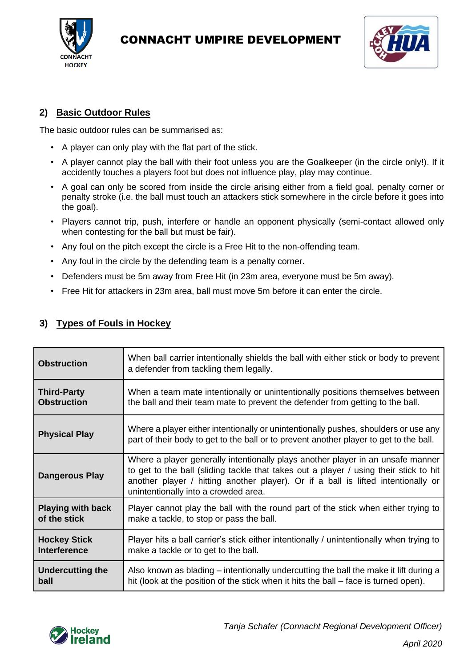

## CONNACHT UMPIRE DEVELOPMENT



### **2) Basic Outdoor Rules**

The basic outdoor rules can be summarised as:

- A player can only play with the flat part of the stick.
- A player cannot play the ball with their foot unless you are the Goalkeeper (in the circle only!). If it accidently touches a players foot but does not influence play, play may continue.
- A goal can only be scored from inside the circle arising either from a field goal, penalty corner or penalty stroke (i.e. the ball must touch an attackers stick somewhere in the circle before it goes into the goal).
- Players cannot trip, push, interfere or handle an opponent physically (semi-contact allowed only when contesting for the ball but must be fair).
- Any foul on the pitch except the circle is a Free Hit to the non-offending team.
- Any foul in the circle by the defending team is a penalty corner.
- Defenders must be 5m away from Free Hit (in 23m area, everyone must be 5m away).
- Free Hit for attackers in 23m area, ball must move 5m before it can enter the circle.

| <b>Obstruction</b>       | When ball carrier intentionally shields the ball with either stick or body to prevent<br>a defender from tackling them legally.                                                                                                                                                                       |  |
|--------------------------|-------------------------------------------------------------------------------------------------------------------------------------------------------------------------------------------------------------------------------------------------------------------------------------------------------|--|
| <b>Third-Party</b>       | When a team mate intentionally or unintentionally positions themselves between                                                                                                                                                                                                                        |  |
| <b>Obstruction</b>       | the ball and their team mate to prevent the defender from getting to the ball.                                                                                                                                                                                                                        |  |
| <b>Physical Play</b>     | Where a player either intentionally or unintentionally pushes, shoulders or use any<br>part of their body to get to the ball or to prevent another player to get to the ball.                                                                                                                         |  |
| <b>Dangerous Play</b>    | Where a player generally intentionally plays another player in an unsafe manner<br>to get to the ball (sliding tackle that takes out a player / using their stick to hit<br>another player / hitting another player). Or if a ball is lifted intentionally or<br>unintentionally into a crowded area. |  |
| <b>Playing with back</b> | Player cannot play the ball with the round part of the stick when either trying to                                                                                                                                                                                                                    |  |
| of the stick             | make a tackle, to stop or pass the ball.                                                                                                                                                                                                                                                              |  |
| <b>Hockey Stick</b>      | Player hits a ball carrier's stick either intentionally / unintentionally when trying to                                                                                                                                                                                                              |  |
| <b>Interference</b>      | make a tackle or to get to the ball.                                                                                                                                                                                                                                                                  |  |
| <b>Undercutting the</b>  | Also known as blading – intentionally undercutting the ball the make it lift during a                                                                                                                                                                                                                 |  |
| ball                     | hit (look at the position of the stick when it hits the ball - face is turned open).                                                                                                                                                                                                                  |  |

## **3) Types of Fouls in Hockey**